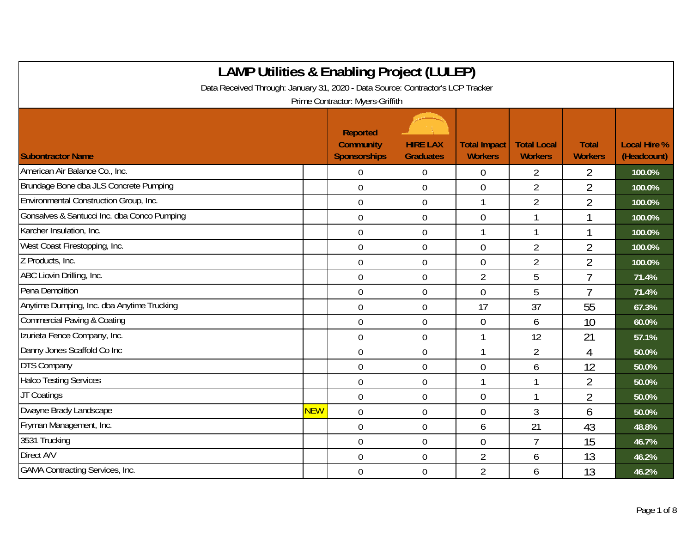| <b>LAMP Utilities &amp; Enabling Project (LULEP)</b>                            |            |                                                            |                                     |                                       |                                      |                                |                                    |
|---------------------------------------------------------------------------------|------------|------------------------------------------------------------|-------------------------------------|---------------------------------------|--------------------------------------|--------------------------------|------------------------------------|
| Data Received Through: January 31, 2020 - Data Source: Contractor's LCP Tracker |            |                                                            |                                     |                                       |                                      |                                |                                    |
|                                                                                 |            | Prime Contractor: Myers-Griffith                           |                                     |                                       |                                      |                                |                                    |
| <b>Subontractor Name</b>                                                        |            | <b>Reported</b><br><b>Community</b><br><b>Sponsorships</b> | <b>HIRE LAX</b><br><b>Graduates</b> | <b>Total Impact</b><br><b>Workers</b> | <b>Total Local</b><br><b>Workers</b> | <b>Total</b><br><b>Workers</b> | <b>Local Hire %</b><br>(Headcount) |
| American Air Balance Co., Inc.                                                  |            | $\mathbf 0$                                                | $\boldsymbol{0}$                    | $\boldsymbol{0}$                      | 2                                    | 2                              | 100.0%                             |
| Brundage Bone dba JLS Concrete Pumping                                          |            | $\mathbf 0$                                                | 0                                   | $\overline{0}$                        | $\overline{2}$                       | $\overline{2}$                 | 100.0%                             |
| Environmental Construction Group, Inc.                                          |            | $\boldsymbol{0}$                                           | $\boldsymbol{0}$                    |                                       | $\overline{2}$                       | $\overline{2}$                 | 100.0%                             |
| Gonsalves & Santucci Inc. dba Conco Pumping                                     |            | $\boldsymbol{0}$                                           | $\boldsymbol{0}$                    | $\overline{0}$                        | 1                                    |                                | 100.0%                             |
| Karcher Insulation, Inc.                                                        |            | $\overline{0}$                                             | 0                                   | $\mathbf{1}$                          | 1                                    | 1                              | 100.0%                             |
| West Coast Firestopping, Inc.                                                   |            | $\mathbf 0$                                                | $\mathbf 0$                         | $\overline{0}$                        | $\overline{2}$                       | $\overline{2}$                 | 100.0%                             |
| Z Products, Inc.                                                                |            | $\mathbf 0$                                                | $\boldsymbol{0}$                    | $\overline{0}$                        | $\overline{2}$                       | $\overline{2}$                 | 100.0%                             |
| ABC Liovin Drilling, Inc.                                                       |            | $\overline{0}$                                             | 0                                   | $\overline{2}$                        | 5                                    | $\overline{7}$                 | 71.4%                              |
| Pena Demolition                                                                 |            | $\mathbf 0$                                                | $\mathbf 0$                         | $\overline{0}$                        | 5                                    | 7                              | 71.4%                              |
| Anytime Dumping, Inc. dba Anytime Trucking                                      |            | $\mathbf 0$                                                | $\boldsymbol{0}$                    | 17                                    | 37                                   | 55                             | 67.3%                              |
| Commercial Paving & Coating                                                     |            | $\overline{0}$                                             | 0                                   | $\theta$                              | 6                                    | 10                             | 60.0%                              |
| Izurieta Fence Company, Inc.                                                    |            | $\overline{0}$                                             | $\mathbf 0$                         |                                       | 12                                   | 21                             | 57.1%                              |
| Danny Jones Scaffold Co Inc                                                     |            | $\mathbf 0$                                                | $\boldsymbol{0}$                    | 1                                     | $\overline{2}$                       | 4                              | 50.0%                              |
| <b>DTS Company</b>                                                              |            | $\overline{0}$                                             | $\overline{0}$                      | $\overline{0}$                        | 6                                    | 12                             | 50.0%                              |
| <b>Halco Testing Services</b>                                                   |            | $\mathbf 0$                                                | $\mathbf 0$                         |                                       | 1                                    | $\overline{2}$                 | 50.0%                              |
| JT Coatings                                                                     |            | $\overline{0}$                                             | $\boldsymbol{0}$                    | $\overline{0}$                        | 1                                    | $\overline{2}$                 | 50.0%                              |
| Dwayne Brady Landscape                                                          | <b>NEW</b> | $\overline{0}$                                             | $\mathbf 0$                         | $\overline{0}$                        | 3                                    | 6                              | 50.0%                              |
| Fryman Management, Inc.                                                         |            | $\mathbf 0$                                                | $\boldsymbol{0}$                    | 6                                     | 21                                   | 43                             | 48.8%                              |
| 3531 Trucking                                                                   |            | $\mathbf 0$                                                | $\boldsymbol{0}$                    | $\overline{0}$                        | $\overline{1}$                       | 15                             | 46.7%                              |
| Direct A/V                                                                      |            | $\mathbf 0$                                                | $\boldsymbol{0}$                    | $\overline{2}$                        | 6                                    | 13                             | 46.2%                              |
| <b>GAMA Contracting Services, Inc.</b>                                          |            | $\boldsymbol{0}$                                           | 0                                   | $\overline{2}$                        | 6                                    | 13                             | 46.2%                              |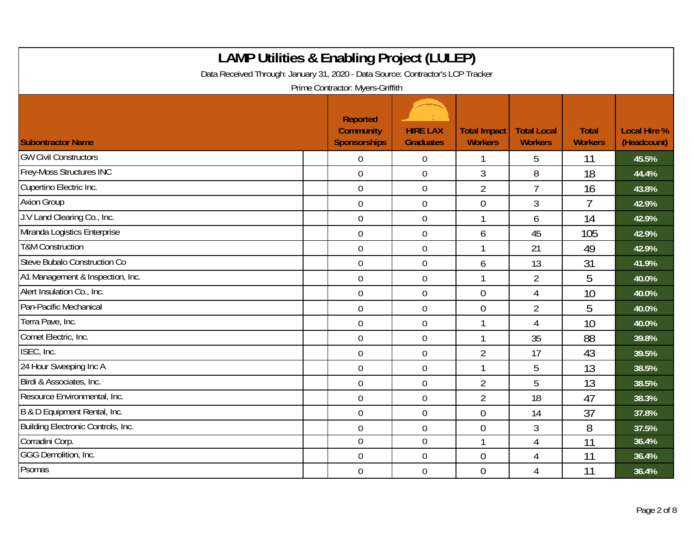| <b>LAMP Utilities &amp; Enabling Project (LULEP)</b><br>Data Received Through: January 31, 2020 - Data Source: Contractor's LCP Tracker<br>Prime Contractor: Myers-Griffith |                                                            |                                     |                                       |                                      |                                |                                    |  |  |
|-----------------------------------------------------------------------------------------------------------------------------------------------------------------------------|------------------------------------------------------------|-------------------------------------|---------------------------------------|--------------------------------------|--------------------------------|------------------------------------|--|--|
| <b>Subontractor Name</b>                                                                                                                                                    | <b>Reported</b><br><b>Community</b><br><b>Sponsorships</b> | <b>HIRE LAX</b><br><b>Graduates</b> | <b>Total Impact</b><br><b>Workers</b> | <b>Total Local</b><br><b>Workers</b> | <b>Total</b><br><b>Workers</b> | <b>Local Hire %</b><br>(Headcount) |  |  |
| <b>GW Civil Constructors</b>                                                                                                                                                | 0                                                          | $\overline{0}$                      |                                       | 5                                    | 11                             | 45.5%                              |  |  |
| Frey-Moss Structures INC                                                                                                                                                    | $\overline{0}$                                             | $\boldsymbol{0}$                    | 3                                     | 8                                    | 18                             | 44.4%                              |  |  |
| Cupertino Electric Inc.                                                                                                                                                     | $\overline{0}$                                             | $\mathbf 0$                         | $\overline{2}$                        | $\overline{7}$                       | 16                             | 43.8%                              |  |  |
| <b>Axion Group</b>                                                                                                                                                          | 0                                                          | $\mathbf 0$                         | $\overline{0}$                        | 3                                    | 7                              | 42.9%                              |  |  |
| J.V Land Clearing Co., Inc.                                                                                                                                                 | $\overline{0}$                                             | $\mathbf 0$                         | $\mathbf 1$                           | 6                                    | 14                             | 42.9%                              |  |  |
| Miranda Logistics Enterprise                                                                                                                                                | $\overline{0}$                                             | $\mathbf 0$                         | 6                                     | 45                                   | 105                            | 42.9%                              |  |  |
| <b>T&amp;M Construction</b>                                                                                                                                                 | 0                                                          | $\mathbf 0$                         | $\overline{1}$                        | 21                                   | 49                             | 42.9%                              |  |  |
| Steve Bubalo Construction Co                                                                                                                                                | 0                                                          | $\overline{0}$                      | 6                                     | 13                                   | 31                             | 41.9%                              |  |  |
| A1 Management & Inspection, Inc.                                                                                                                                            | 0                                                          | $\boldsymbol{0}$                    | 1                                     | $\overline{2}$                       | 5                              | 40.0%                              |  |  |
| Alert Insulation Co., Inc.                                                                                                                                                  | 0                                                          | $\mathbf 0$                         | $\overline{0}$                        | 4                                    | 10                             | 40.0%                              |  |  |
| Pan-Pacific Mechanical                                                                                                                                                      | 0                                                          | $\mathbf 0$                         | $\Omega$                              | $\overline{2}$                       | 5                              | 40.0%                              |  |  |
| Terra Pave, Inc.                                                                                                                                                            | $\overline{0}$                                             | $\mathbf 0$                         | $\overline{\phantom{a}}$              | $\overline{4}$                       | 10                             | 40.0%                              |  |  |
| Comet Electric, Inc.                                                                                                                                                        | $\mathbf 0$                                                | $\mathbf 0$                         | -1                                    | 35                                   | 88                             | 39.8%                              |  |  |
| ISEC, Inc.                                                                                                                                                                  | 0                                                          | $\boldsymbol{0}$                    | $\overline{2}$                        | 17                                   | 43                             | 39.5%                              |  |  |
| 24 Hour Sweeping Inc A                                                                                                                                                      | $\mathbf 0$                                                | $\mathbf 0$                         | $\overline{\phantom{a}}$              | 5                                    | 13                             | 38.5%                              |  |  |
| Birdi & Associates, Inc.                                                                                                                                                    | 0                                                          | $\boldsymbol{0}$                    | $\overline{2}$                        | 5                                    | 13                             | 38.5%                              |  |  |
| Resource Environmental, Inc.                                                                                                                                                | $\overline{0}$                                             | $\mathbf 0$                         | $\overline{2}$                        | 18                                   | 47                             | 38.3%                              |  |  |
| B & D Equipment Rental, Inc.                                                                                                                                                | 0                                                          | $\mathbf 0$                         | $\overline{0}$                        | 14                                   | 37                             | 37.8%                              |  |  |
| Building Electronic Controls, Inc.                                                                                                                                          | $\overline{0}$                                             | $\mathbf 0$                         | $\overline{0}$                        | 3                                    | 8                              | 37.5%                              |  |  |
| Corradini Corp.                                                                                                                                                             | $\mathbf 0$                                                | $\overline{0}$                      |                                       | 4                                    | 11                             | 36.4%                              |  |  |
| GGG Demolition, Inc.                                                                                                                                                        | 0                                                          | $\mathbf 0$                         | $\overline{0}$                        | 4                                    | 11                             | 36.4%                              |  |  |
| Psomas                                                                                                                                                                      | 0                                                          | $\overline{0}$                      | $\overline{0}$                        | 4                                    | 11                             | 36.4%                              |  |  |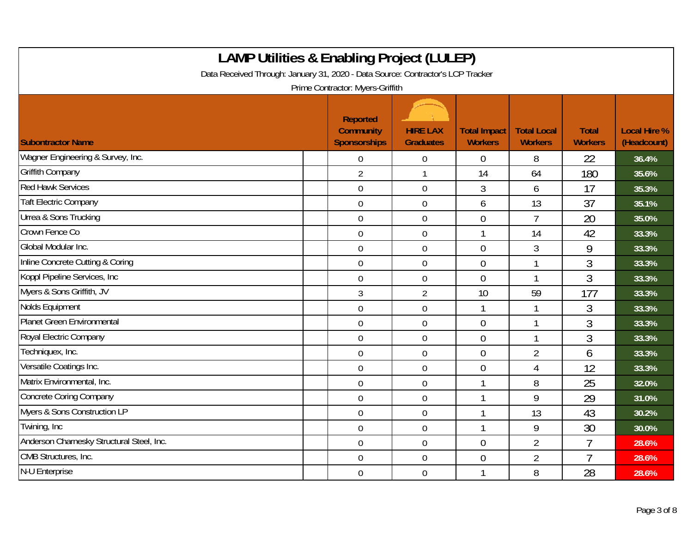| <b>LAMP Utilities &amp; Enabling Project (LULEP)</b><br>Data Received Through: January 31, 2020 - Data Source: Contractor's LCP Tracker<br>Prime Contractor: Myers-Griffith |                                                            |                                     |                                       |                                      |                                |                                    |  |  |
|-----------------------------------------------------------------------------------------------------------------------------------------------------------------------------|------------------------------------------------------------|-------------------------------------|---------------------------------------|--------------------------------------|--------------------------------|------------------------------------|--|--|
| <b>Subontractor Name</b>                                                                                                                                                    | <b>Reported</b><br><b>Community</b><br><b>Sponsorships</b> | <b>HIRE LAX</b><br><b>Graduates</b> | <b>Total Impact</b><br><b>Workers</b> | <b>Total Local</b><br><b>Workers</b> | <b>Total</b><br><b>Workers</b> | <b>Local Hire %</b><br>(Headcount) |  |  |
| Wagner Engineering & Survey, Inc.                                                                                                                                           | $\mathbf 0$                                                | $\mathbf 0$                         | $\overline{0}$                        | 8                                    | 22                             | 36.4%                              |  |  |
| <b>Griffith Company</b>                                                                                                                                                     | $\overline{2}$                                             | $\mathbf{1}$                        | 14                                    | 64                                   | 180                            | 35.6%                              |  |  |
| <b>Red Hawk Services</b>                                                                                                                                                    | $\overline{0}$                                             | $\mathbf 0$                         | 3                                     | 6                                    | 17                             | 35.3%                              |  |  |
| <b>Taft Electric Company</b>                                                                                                                                                | $\mathbf 0$                                                | $\mathbf 0$                         | 6                                     | 13                                   | 37                             | 35.1%                              |  |  |
| <b>Urrea &amp; Sons Trucking</b>                                                                                                                                            | $\mathbf 0$                                                | $\mathbf 0$                         | $\overline{0}$                        | $\overline{7}$                       | 20                             | 35.0%                              |  |  |
| Crown Fence Co                                                                                                                                                              | $\overline{0}$                                             | $\mathbf 0$                         |                                       | 14                                   | 42                             | 33.3%                              |  |  |
| Global Modular Inc.                                                                                                                                                         | $\overline{0}$                                             | $\mathbf 0$                         | $\overline{0}$                        | 3                                    | 9                              | 33.3%                              |  |  |
| Inline Concrete Cutting & Coring                                                                                                                                            | $\mathbf 0$                                                | $\mathbf 0$                         | $\overline{0}$                        | $\mathbf{1}$                         | 3                              | 33.3%                              |  |  |
| Koppl Pipeline Services, Inc.                                                                                                                                               | $\mathbf 0$                                                | $\boldsymbol{0}$                    | $\overline{0}$                        | $\mathbf{1}$                         | 3                              | 33.3%                              |  |  |
| Myers & Sons Griffith, JV                                                                                                                                                   | 3                                                          | $\overline{2}$                      | 10                                    | 59                                   | 177                            | 33.3%                              |  |  |
| Nolds Equipment                                                                                                                                                             | $\overline{0}$                                             | $\mathbf 0$                         |                                       | $\mathbf{1}$                         | 3                              | 33.3%                              |  |  |
| Planet Green Environmental                                                                                                                                                  | $\mathbf 0$                                                | $\mathbf 0$                         | $\overline{0}$                        | $\mathbf{1}$                         | 3                              | 33.3%                              |  |  |
| Royal Electric Company                                                                                                                                                      | $\mathbf 0$                                                | $\boldsymbol{0}$                    | $\overline{0}$                        | 1                                    | 3                              | 33.3%                              |  |  |
| Techniquex, Inc.                                                                                                                                                            | $\mathbf 0$                                                | $\mathbf 0$                         | $\overline{0}$                        | $\overline{2}$                       | 6                              | 33.3%                              |  |  |
| Versatile Coatings Inc.                                                                                                                                                     | $\overline{0}$                                             | $\mathbf 0$                         | $\Omega$                              | 4                                    | 12                             | 33.3%                              |  |  |
| Matrix Environmental, Inc.                                                                                                                                                  | $\overline{0}$                                             | $\mathbf 0$                         |                                       | 8                                    | 25                             | 32.0%                              |  |  |
| <b>Concrete Coring Company</b>                                                                                                                                              | $\mathbf 0$                                                | $\mathbf 0$                         |                                       | 9                                    | 29                             | 31.0%                              |  |  |
| Myers & Sons Construction LP                                                                                                                                                | $\mathbf 0$                                                | $\mathbf 0$                         |                                       | 13                                   | 43                             | 30.2%                              |  |  |
| Twining, Inc.                                                                                                                                                               | $\boldsymbol{0}$                                           | $\boldsymbol{0}$                    |                                       | 9                                    | 30                             | 30.0%                              |  |  |
| Anderson Charnesky Structural Steel, Inc.                                                                                                                                   | $\mathbf 0$                                                | $\boldsymbol{0}$                    | $\theta$                              | $\overline{2}$                       | 7                              | 28.6%                              |  |  |
| CMB Structures, Inc.                                                                                                                                                        | $\mathbf 0$                                                | $\mathbf 0$                         | $\theta$                              | $\overline{2}$                       | 7                              | 28.6%                              |  |  |
| N-U Enterprise                                                                                                                                                              | $\mathbf 0$                                                | $\boldsymbol{0}$                    |                                       | 8                                    | 28                             | 28.6%                              |  |  |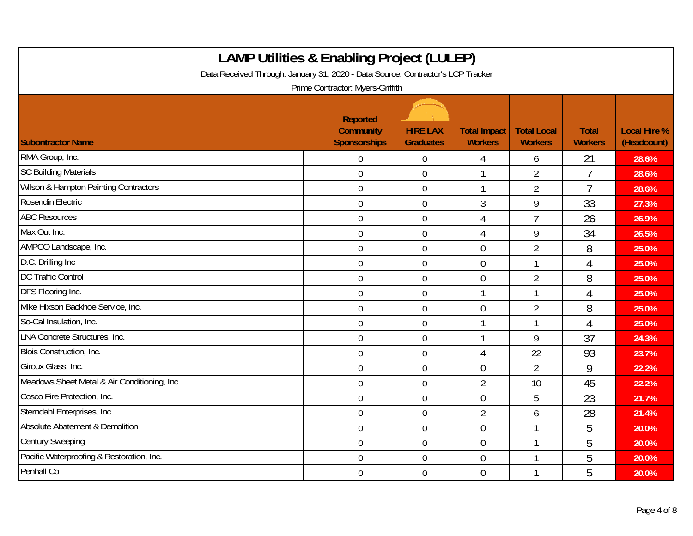| <b>LAMP Utilities &amp; Enabling Project (LULEP)</b><br>Data Received Through: January 31, 2020 - Data Source: Contractor's LCP Tracker<br>Prime Contractor: Myers-Griffith |                                                     |                                     |                                       |                                      |                                |                                    |  |  |
|-----------------------------------------------------------------------------------------------------------------------------------------------------------------------------|-----------------------------------------------------|-------------------------------------|---------------------------------------|--------------------------------------|--------------------------------|------------------------------------|--|--|
| <b>Subontractor Name</b>                                                                                                                                                    | Reported<br><b>Community</b><br><b>Sponsorships</b> | <b>HIRE LAX</b><br><b>Graduates</b> | <b>Total Impact</b><br><b>Workers</b> | <b>Total Local</b><br><b>Workers</b> | <b>Total</b><br><b>Workers</b> | <b>Local Hire %</b><br>(Headcount) |  |  |
| RMA Group, Inc.                                                                                                                                                             | $\overline{0}$                                      | $\boldsymbol{0}$                    | $\overline{4}$                        | 6                                    | 21                             | 28.6%                              |  |  |
| <b>SC Building Materials</b>                                                                                                                                                | $\mathbf 0$                                         | $\boldsymbol{0}$                    |                                       | $\overline{2}$                       | 7                              | 28.6%                              |  |  |
| Wilson & Hampton Painting Contractors                                                                                                                                       | $\mathbf 0$                                         | $\mathbf 0$                         | $\mathbf{1}$                          | $\overline{2}$                       | $\overline{1}$                 | 28.6%                              |  |  |
| Rosendin Electric                                                                                                                                                           | $\mathbf 0$                                         | $\mathbf 0$                         | 3                                     | 9                                    | 33                             | 27.3%                              |  |  |
| <b>ABC Resources</b>                                                                                                                                                        | $\mathbf 0$                                         | $\mathbf 0$                         | $\overline{4}$                        | $\overline{7}$                       | 26                             | 26.9%                              |  |  |
| Max Out Inc.                                                                                                                                                                | $\overline{0}$                                      | $\boldsymbol{0}$                    | $\overline{4}$                        | 9                                    | 34                             | 26.5%                              |  |  |
| AMPCO Landscape, Inc.                                                                                                                                                       | $\overline{0}$                                      | $\overline{0}$                      | $\overline{0}$                        | $\overline{2}$                       | 8                              | 25.0%                              |  |  |
| D.C. Drilling Inc                                                                                                                                                           | $\overline{0}$                                      | $\mathbf 0$                         | $\theta$                              | 1                                    | 4                              | 25.0%                              |  |  |
| <b>DC Traffic Control</b>                                                                                                                                                   | $\overline{0}$                                      | $\mathbf 0$                         | $\overline{0}$                        | $\overline{2}$                       | 8                              | 25.0%                              |  |  |
| DFS Flooring Inc.                                                                                                                                                           | $\mathbf 0$                                         | $\boldsymbol{0}$                    |                                       | 1                                    | 4                              | 25.0%                              |  |  |
| Mike Hixson Backhoe Service, Inc.                                                                                                                                           | $\overline{0}$                                      | $\overline{0}$                      | $\overline{0}$                        | $\overline{2}$                       | 8                              | 25.0%                              |  |  |
| So-Cal Insulation, Inc.                                                                                                                                                     | $\mathbf 0$                                         | $\mathbf 0$                         |                                       | 1                                    | 4                              | 25.0%                              |  |  |
| LNA Concrete Structures, Inc.                                                                                                                                               | $\mathbf 0$                                         | $\boldsymbol{0}$                    |                                       | 9                                    | 37                             | 24.3%                              |  |  |
| Blois Construction, Inc.                                                                                                                                                    | $\mathbf 0$                                         | $\mathbf 0$                         | $\overline{4}$                        | 22                                   | 93                             | 23.7%                              |  |  |
| Giroux Glass, Inc.                                                                                                                                                          | $\mathbf 0$                                         | $\mathbf 0$                         | $\overline{0}$                        | $\overline{2}$                       | 9                              | 22.2%                              |  |  |
| Meadows Sheet Metal & Air Conditioning, Inc.                                                                                                                                | $\overline{0}$                                      | $\mathbf 0$                         | $\overline{2}$                        | 10                                   | 45                             | 22.2%                              |  |  |
| Cosco Fire Protection, Inc.                                                                                                                                                 | $\overline{0}$                                      | $\mathbf 0$                         | $\overline{0}$                        | 5                                    | 23                             | 21.7%                              |  |  |
| Sterndahl Enterprises, Inc.                                                                                                                                                 | $\overline{0}$                                      | $\mathbf 0$                         | $\overline{2}$                        | 6                                    | 28                             | 21.4%                              |  |  |
| Absolute Abatement & Demolition                                                                                                                                             | $\mathbf 0$                                         | $\mathbf 0$                         | $\overline{0}$                        | 1                                    | 5                              | 20.0%                              |  |  |
| <b>Century Sweeping</b>                                                                                                                                                     | $\mathbf 0$                                         | $\boldsymbol{0}$                    | $\theta$                              | 1                                    | 5                              | 20.0%                              |  |  |
| Pacific Waterproofing & Restoration, Inc.                                                                                                                                   | $\mathbf 0$                                         | $\mathbf 0$                         | $\theta$                              | 1                                    | 5                              | 20.0%                              |  |  |
| Penhall Co                                                                                                                                                                  | $\overline{0}$                                      | $\mathbf 0$                         | $\overline{0}$                        | $\mathbf{1}$                         | 5                              | 20.0%                              |  |  |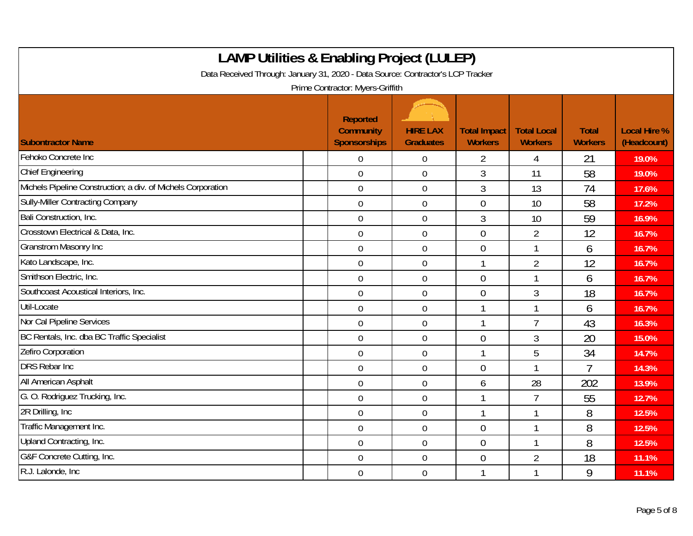| <b>LAMP Utilities &amp; Enabling Project (LULEP)</b><br>Data Received Through: January 31, 2020 - Data Source: Contractor's LCP Tracker<br>Prime Contractor: Myers-Griffith |                                                            |                                     |                                       |                                      |                                |                                    |  |  |  |
|-----------------------------------------------------------------------------------------------------------------------------------------------------------------------------|------------------------------------------------------------|-------------------------------------|---------------------------------------|--------------------------------------|--------------------------------|------------------------------------|--|--|--|
| <b>Subontractor Name</b>                                                                                                                                                    | <b>Reported</b><br><b>Community</b><br><b>Sponsorships</b> | <b>HIRE LAX</b><br><b>Graduates</b> | <b>Total Impact</b><br><b>Workers</b> | <b>Total Local</b><br><b>Workers</b> | <b>Total</b><br><b>Workers</b> | <b>Local Hire %</b><br>(Headcount) |  |  |  |
| Fehoko Concrete Inc                                                                                                                                                         | $\overline{0}$                                             | $\mathbf 0$                         | $\overline{2}$                        | 4                                    | 21                             | 19.0%                              |  |  |  |
| <b>Chief Engineering</b>                                                                                                                                                    | $\mathbf 0$                                                | $\boldsymbol{0}$                    | 3                                     | 11                                   | 58                             | 19.0%                              |  |  |  |
| Michels Pipeline Construction; a div. of Michels Corporation                                                                                                                | $\mathbf 0$                                                | $\mathbf 0$                         | 3                                     | 13                                   | 74                             | 17.6%                              |  |  |  |
| <b>Sully-Miller Contracting Company</b>                                                                                                                                     | $\mathbf 0$                                                | $\boldsymbol{0}$                    | $\overline{0}$                        | 10                                   | 58                             | 17.2%                              |  |  |  |
| Bali Construction, Inc.                                                                                                                                                     | $\overline{0}$                                             | $\boldsymbol{0}$                    | $\overline{3}$                        | 10                                   | 59                             | 16.9%                              |  |  |  |
| Crosstown Electrical & Data, Inc.                                                                                                                                           | $\overline{0}$                                             | $\mathbf 0$                         | $\theta$                              | $\overline{2}$                       | 12                             | 16.7%                              |  |  |  |
| <b>Granstrom Masonry Inc</b>                                                                                                                                                | $\overline{0}$                                             | $\mathbf 0$                         | $\overline{0}$                        | 1                                    | 6                              | 16.7%                              |  |  |  |
| Kato Landscape, Inc.                                                                                                                                                        | $\mathbf 0$                                                | $\mathbf 0$                         |                                       | $\overline{2}$                       | 12                             | 16.7%                              |  |  |  |
| Smithson Electric, Inc.                                                                                                                                                     | $\overline{0}$                                             | $\boldsymbol{0}$                    | $\overline{0}$                        | 1                                    | 6                              | 16.7%                              |  |  |  |
| Southcoast Acoustical Interiors, Inc.                                                                                                                                       | $\mathbf 0$                                                | $\mathbf 0$                         | $\overline{0}$                        | 3                                    | 18                             | 16.7%                              |  |  |  |
| Util-Locate                                                                                                                                                                 | $\mathbf 0$                                                | $\mathbf 0$                         |                                       | 1                                    | 6                              | 16.7%                              |  |  |  |
| Nor Cal Pipeline Services                                                                                                                                                   | $\overline{0}$                                             | $\mathbf 0$                         | $\mathbf{1}$                          | $\overline{7}$                       | 43                             | 16.3%                              |  |  |  |
| BC Rentals, Inc. dba BC Traffic Specialist                                                                                                                                  | $\overline{0}$                                             | $\boldsymbol{0}$                    | $\theta$                              | 3                                    | 20                             | 15.0%                              |  |  |  |
| Zefiro Corporation                                                                                                                                                          | $\overline{0}$                                             | $\mathbf 0$                         | 1                                     | 5                                    | 34                             | 14.7%                              |  |  |  |
| <b>DRS Rebar Inc.</b>                                                                                                                                                       | $\overline{0}$                                             | $\mathbf 0$                         | $\theta$                              | 1                                    | 7                              | 14.3%                              |  |  |  |
| All American Asphalt                                                                                                                                                        | $\overline{0}$                                             | $\mathbf 0$                         | 6                                     | 28                                   | 202                            | 13.9%                              |  |  |  |
| G. O. Rodriquez Trucking, Inc.                                                                                                                                              | $\mathbf 0$                                                | $\boldsymbol{0}$                    |                                       | $\overline{7}$                       | 55                             | 12.7%                              |  |  |  |
| 2R Drilling, Inc.                                                                                                                                                           | $\overline{0}$                                             | $\mathbf 0$                         |                                       | 1                                    | 8                              | 12.5%                              |  |  |  |
| Traffic Management Inc.                                                                                                                                                     | $\mathbf 0$                                                | $\mathbf 0$                         | $\theta$                              | 1                                    | 8                              | 12.5%                              |  |  |  |
| Upland Contracting, Inc.                                                                                                                                                    | $\mathbf 0$                                                | $\boldsymbol{0}$                    | $\mathbf 0$                           | 1                                    | 8                              | 12.5%                              |  |  |  |
| G&F Concrete Cutting, Inc.                                                                                                                                                  | $\mathbf 0$                                                | $\boldsymbol{0}$                    | $\mathbf 0$                           | $\overline{2}$                       | 18                             | 11.1%                              |  |  |  |
| R.J. Lalonde, Inc.                                                                                                                                                          | $\overline{0}$                                             | $\boldsymbol{0}$                    |                                       | 1                                    | 9                              | 11.1%                              |  |  |  |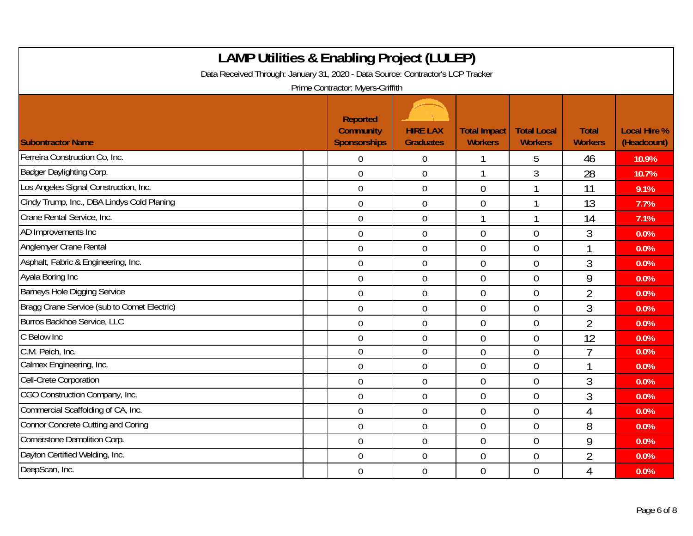| <b>LAMP Utilities &amp; Enabling Project (LULEP)</b><br>Data Received Through: January 31, 2020 - Data Source: Contractor's LCP Tracker<br>Prime Contractor: Myers-Griffith |                                                     |                                     |                                       |                                      |                                |                                    |  |  |  |
|-----------------------------------------------------------------------------------------------------------------------------------------------------------------------------|-----------------------------------------------------|-------------------------------------|---------------------------------------|--------------------------------------|--------------------------------|------------------------------------|--|--|--|
| <b>Subontractor Name</b>                                                                                                                                                    | Reported<br><b>Community</b><br><b>Sponsorships</b> | <b>HIRE LAX</b><br><b>Graduates</b> | <b>Total Impact</b><br><b>Workers</b> | <b>Total Local</b><br><b>Workers</b> | <b>Total</b><br><b>Workers</b> | <b>Local Hire %</b><br>(Headcount) |  |  |  |
| Ferreira Construction Co, Inc.                                                                                                                                              | $\mathbf 0$                                         | $\mathbf 0$                         |                                       | 5                                    | 46                             | 10.9%                              |  |  |  |
| Badger Daylighting Corp.                                                                                                                                                    | $\overline{0}$                                      | $\boldsymbol{0}$                    |                                       | 3                                    | 28                             | 10.7%                              |  |  |  |
| Los Angeles Signal Construction, Inc.                                                                                                                                       | $\overline{0}$                                      | $\mathbf 0$                         | $\overline{0}$                        | $\overline{\phantom{a}}$             | 11                             | 9.1%                               |  |  |  |
| Cindy Trump, Inc., DBA Lindys Cold Planing                                                                                                                                  | $\mathbf 0$                                         | $\mathbf 0$                         | $\overline{0}$                        |                                      | 13                             | 7.7%                               |  |  |  |
| Crane Rental Service, Inc.                                                                                                                                                  | $\overline{0}$                                      | $\mathbf 0$                         |                                       | 1                                    | 14                             | 7.1%                               |  |  |  |
| AD Improvements Inc                                                                                                                                                         | $\mathbf 0$                                         | $\boldsymbol{0}$                    | $\mathbf 0$                           | $\overline{0}$                       | 3                              | 0.0%                               |  |  |  |
| Anglemyer Crane Rental                                                                                                                                                      | $\overline{0}$                                      | $\mathbf 0$                         | $\overline{0}$                        | $\overline{0}$                       | 1                              | 0.0%                               |  |  |  |
| Asphalt, Fabric & Engineering, Inc.                                                                                                                                         | $\mathbf 0$                                         | $\mathbf 0$                         | $\overline{0}$                        | $\overline{0}$                       | 3                              | 0.0%                               |  |  |  |
| Ayala Boring Inc                                                                                                                                                            | $\overline{0}$                                      | $\boldsymbol{0}$                    | $\mathbf 0$                           | $\overline{0}$                       | 9                              | 0.0%                               |  |  |  |
| <b>Barneys Hole Digging Service</b>                                                                                                                                         | $\overline{0}$                                      | $\mathbf 0$                         | $\overline{0}$                        | $\overline{0}$                       | $\overline{2}$                 | 0.0%                               |  |  |  |
| Bragg Crane Service (sub to Comet Electric)                                                                                                                                 | $\overline{0}$                                      | $\mathbf 0$                         | $\overline{0}$                        | $\Omega$                             | 3                              | 0.0%                               |  |  |  |
| Burros Backhoe Service, LLC                                                                                                                                                 | $\overline{0}$                                      | $\mathbf 0$                         | $\overline{0}$                        | $\overline{0}$                       | $\overline{2}$                 | 0.0%                               |  |  |  |
| C Below Inc                                                                                                                                                                 | $\mathbf 0$                                         | $\mathbf 0$                         | $\overline{0}$                        | $\theta$                             | 12                             | 0.0%                               |  |  |  |
| C.M. Peich, Inc.                                                                                                                                                            | $\overline{0}$                                      | $\mathbf 0$                         | $\overline{0}$                        | $\overline{0}$                       | $\overline{7}$                 | 0.0%                               |  |  |  |
| Calmex Engineering, Inc.                                                                                                                                                    | $\overline{0}$                                      | $\boldsymbol{0}$                    | $\theta$                              | $\overline{0}$                       | 1                              | 0.0%                               |  |  |  |
| Cell-Crete Corporation                                                                                                                                                      | $\overline{0}$                                      | $\mathbf 0$                         | $\overline{0}$                        | $\overline{0}$                       | 3                              | 0.0%                               |  |  |  |
| CGO Construction Company, Inc.                                                                                                                                              | $\mathbf 0$                                         | $\mathbf 0$                         | $\overline{0}$                        | $\overline{0}$                       | 3                              | 0.0%                               |  |  |  |
| Commercial Scaffolding of CA, Inc.                                                                                                                                          | $\overline{0}$                                      | $\mathbf 0$                         | $\overline{0}$                        | $\overline{0}$                       | 4                              | 0.0%                               |  |  |  |
| Connor Concrete Cutting and Coring                                                                                                                                          | $\mathbf 0$                                         | $\mathbf 0$                         | $\overline{0}$                        | $\overline{0}$                       | 8                              | 0.0%                               |  |  |  |
| Cornerstone Demolition Corp.                                                                                                                                                | $\overline{0}$                                      | $\mathbf 0$                         | $\overline{0}$                        | $\overline{0}$                       | 9                              | 0.0%                               |  |  |  |
| Dayton Certified Welding, Inc.                                                                                                                                              | $\mathbf 0$                                         | $\mathbf 0$                         | $\overline{0}$                        | $\overline{0}$                       | $\overline{2}$                 | 0.0%                               |  |  |  |
| DeepScan, Inc.                                                                                                                                                              | $\overline{0}$                                      | $\overline{0}$                      | $\theta$                              | $\overline{0}$                       | 4                              | 0.0%                               |  |  |  |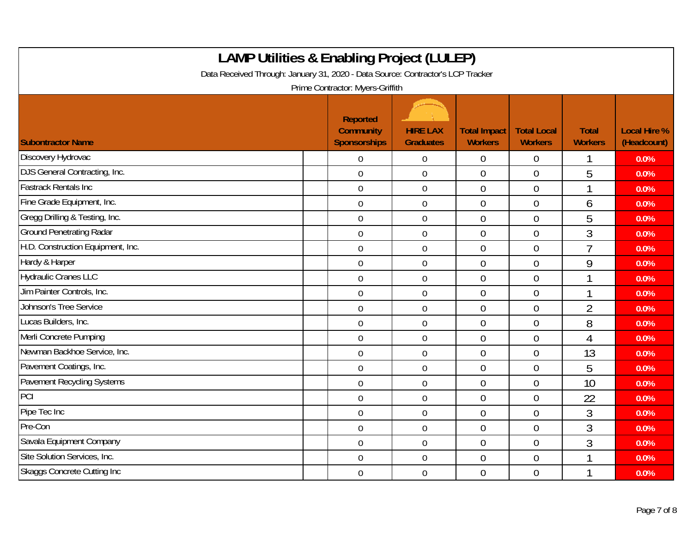| <b>LAMP Utilities &amp; Enabling Project (LULEP)</b><br>Data Received Through: January 31, 2020 - Data Source: Contractor's LCP Tracker<br>Prime Contractor: Myers-Griffith |                                                            |                                     |                                       |                                      |                                |                                    |  |  |
|-----------------------------------------------------------------------------------------------------------------------------------------------------------------------------|------------------------------------------------------------|-------------------------------------|---------------------------------------|--------------------------------------|--------------------------------|------------------------------------|--|--|
| <b>Subontractor Name</b>                                                                                                                                                    | <b>Reported</b><br><b>Community</b><br><b>Sponsorships</b> | <b>HIRE LAX</b><br><b>Graduates</b> | <b>Total Impact</b><br><b>Workers</b> | <b>Total Local</b><br><b>Workers</b> | <b>Total</b><br><b>Workers</b> | <b>Local Hire %</b><br>(Headcount) |  |  |
| Discovery Hydrovac                                                                                                                                                          | $\mathbf 0$                                                | $\mathbf 0$                         | $\mathbf 0$                           | $\overline{0}$                       |                                | 0.0%                               |  |  |
| DJS General Contracting, Inc.                                                                                                                                               | $\mathbf 0$                                                | $\boldsymbol{0}$                    | $\theta$                              | $\overline{0}$                       | 5                              | 0.0%                               |  |  |
| <b>Fastrack Rentals Inc</b>                                                                                                                                                 | $\overline{0}$                                             | $\mathbf 0$                         | $\theta$                              | $\overline{0}$                       | 1                              | 0.0%                               |  |  |
| Fine Grade Equipment, Inc.                                                                                                                                                  | $\mathbf 0$                                                | $\mathbf 0$                         | $\overline{0}$                        | $\overline{0}$                       | 6                              | 0.0%                               |  |  |
| Gregg Drilling & Testing, Inc.                                                                                                                                              | $\mathbf 0$                                                | $\mathbf 0$                         | $\overline{0}$                        | $\overline{0}$                       | 5                              | 0.0%                               |  |  |
| <b>Ground Penetrating Radar</b>                                                                                                                                             | $\overline{0}$                                             | $\mathbf 0$                         | $\overline{0}$                        | $\overline{0}$                       | 3                              | 0.0%                               |  |  |
| H.D. Construction Equipment, Inc.                                                                                                                                           | $\overline{0}$                                             | $\mathbf 0$                         | $\overline{0}$                        | $\overline{0}$                       | $\overline{7}$                 | 0.0%                               |  |  |
| Hardy & Harper                                                                                                                                                              | $\mathbf 0$                                                | $\mathbf 0$                         | $\mathbf 0$                           | $\mathbf 0$                          | 9                              | 0.0%                               |  |  |
| <b>Hydraulic Cranes LLC</b>                                                                                                                                                 | $\boldsymbol{0}$                                           | $\boldsymbol{0}$                    | $\overline{0}$                        | $\overline{0}$                       | 1                              | 0.0%                               |  |  |
| Jim Painter Controls, Inc.                                                                                                                                                  | $\overline{0}$                                             | $\mathbf 0$                         | $\overline{0}$                        | $\overline{0}$                       | 1                              | 0.0%                               |  |  |
| Johnson's Tree Service                                                                                                                                                      | $\mathbf 0$                                                | $\mathbf 0$                         | $\overline{0}$                        | $\overline{0}$                       | $\overline{2}$                 | 0.0%                               |  |  |
| Lucas Builders, Inc.                                                                                                                                                        | $\mathbf 0$                                                | $\boldsymbol{0}$                    | $\overline{0}$                        | $\overline{0}$                       | 8                              | 0.0%                               |  |  |
| Merli Concrete Pumping                                                                                                                                                      | $\mathbf 0$                                                | $\mathbf 0$                         | $\theta$                              | $\overline{0}$                       | 4                              | 0.0%                               |  |  |
| Newman Backhoe Service, Inc.                                                                                                                                                | $\overline{0}$                                             | $\mathbf 0$                         | $\overline{0}$                        | $\overline{0}$                       | 13                             | 0.0%                               |  |  |
| Pavement Coatings, Inc.                                                                                                                                                     | $\mathbf 0$                                                | $\mathbf 0$                         | $\overline{0}$                        | $\overline{0}$                       | 5                              | 0.0%                               |  |  |
| Pavement Recycling Systems                                                                                                                                                  | $\overline{0}$                                             | $\mathbf 0$                         | $\overline{0}$                        | $\overline{0}$                       | 10                             | 0.0%                               |  |  |
| PCI                                                                                                                                                                         | $\mathbf 0$                                                | $\mathbf 0$                         | $\theta$                              | $\theta$                             | 22                             | 0.0%                               |  |  |
| Pipe Tec Inc                                                                                                                                                                | $\overline{0}$                                             | $\mathbf 0$                         | $\overline{0}$                        | $\overline{0}$                       | 3                              | 0.0%                               |  |  |
| Pre-Con                                                                                                                                                                     | $\mathbf 0$                                                | $\boldsymbol{0}$                    | $\overline{0}$                        | $\overline{0}$                       | 3                              | 0.0%                               |  |  |
| Savala Equipment Company                                                                                                                                                    | $\overline{0}$                                             | $\mathbf 0$                         | $\overline{0}$                        | $\overline{0}$                       | 3                              | 0.0%                               |  |  |
| Site Solution Services, Inc.                                                                                                                                                | $\overline{0}$                                             | $\mathbf 0$                         | $\overline{0}$                        | $\overline{0}$                       | ↑                              | 0.0%                               |  |  |
| <b>Skaggs Concrete Cutting Inc.</b>                                                                                                                                         | $\mathbf 0$                                                | $\boldsymbol{0}$                    | $\overline{0}$                        | $\overline{0}$                       |                                | 0.0%                               |  |  |